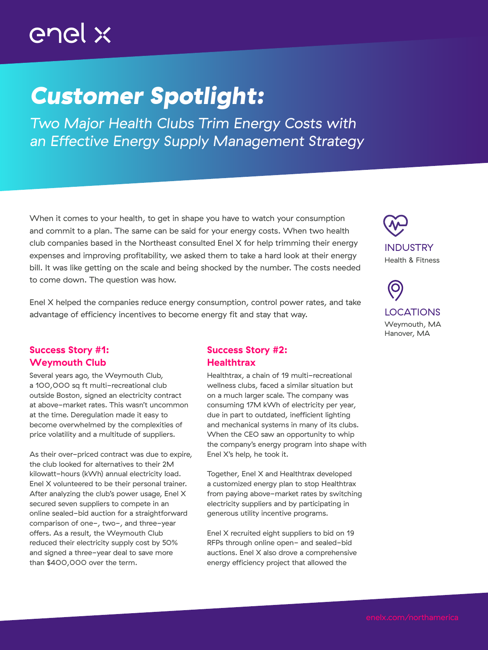# enel x

## *Customer Spotlight:*

*Two Major Health Clubs Trim Energy Costs with an Effective Energy Supply Management Strategy*

When it comes to your health, to get in shape you have to watch your consumption and commit to a plan. The same can be said for your energy costs. When two health club companies based in the Northeast consulted Enel X for help trimming their energy expenses and improving profitability, we asked them to take a hard look at their energy bill. It was like getting on the scale and being shocked by the number. The costs needed to come down. The question was how.

Enel X helped the companies reduce energy consumption, control power rates, and take advantage of efficiency incentives to become energy fit and stay that way.

#### Success Story #1: Weymouth Club

Several years ago, the Weymouth Club, a 100,000 sq ft multi-recreational club outside Boston, signed an electricity contract at above-market rates. This wasn't uncommon at the time. Deregulation made it easy to become overwhelmed by the complexities of price volatility and a multitude of suppliers.

As their over-priced contract was due to expire, the club looked for alternatives to their 2M kilowatt-hours (kWh) annual electricity load. Enel X volunteered to be their personal trainer. After analyzing the club's power usage, Enel X secured seven suppliers to compete in an online sealed-bid auction for a straightforward comparison of one-, two-, and three-year offers. As a result, the Weymouth Club reduced their electricity supply cost by 50% and signed a three-year deal to save more than \$400,000 over the term.

#### Success Story #2: **Healthtrax**

Healthtrax, a chain of 19 multi-recreational wellness clubs, faced a similar situation but on a much larger scale. The company was consuming 17M kWh of electricity per year, due in part to outdated, inefficient lighting and mechanical systems in many of its clubs. When the CEO saw an opportunity to whip the company's energy program into shape with Enel X's help, he took it.

Together, Enel X and Healthtrax developed a customized energy plan to stop Healthtrax from paying above-market rates by switching electricity suppliers and by participating in generous utility incentive programs.

Enel X recruited eight suppliers to bid on 19 RFPs through online open- and sealed-bid auctions. Enel X also drove a comprehensive energy efficiency project that allowed the



O LOCATIONS Weymouth, MA Hanover, MA